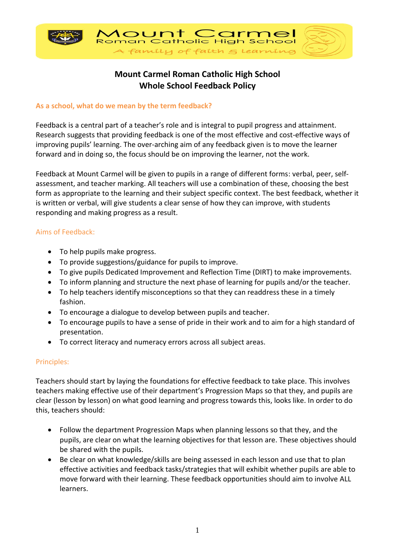

# **Mount Carmel Roman Catholic High School Whole School Feedback Policy**

#### **As a school, what do we mean by the term feedback?**

Feedback is a central part of a teacher's role and is integral to pupil progress and attainment. Research suggests that providing feedback is one of the most effective and cost-effective ways of improving pupils' learning. The over-arching aim of any feedback given is to move the learner forward and in doing so, the focus should be on improving the learner, not the work.

Feedback at Mount Carmel will be given to pupils in a range of different forms: verbal, peer, selfassessment, and teacher marking. All teachers will use a combination of these, choosing the best form as appropriate to the learning and their subject specific context. The best feedback, whether it is written or verbal, will give students a clear sense of how they can improve, with students responding and making progress as a result.

## Aims of Feedback:

- To help pupils make progress.
- To provide suggestions/guidance for pupils to improve.
- To give pupils Dedicated Improvement and Reflection Time (DIRT) to make improvements.
- To inform planning and structure the next phase of learning for pupils and/or the teacher.
- To help teachers identify misconceptions so that they can readdress these in a timely fashion.
- To encourage a dialogue to develop between pupils and teacher.
- To encourage pupils to have a sense of pride in their work and to aim for a high standard of presentation.
- To correct literacy and numeracy errors across all subject areas.

#### Principles:

Teachers should start by laying the foundations for effective feedback to take place. This involves teachers making effective use of their department's Progression Maps so that they, and pupils are clear (lesson by lesson) on what good learning and progress towards this, looks like. In order to do this, teachers should:

- Follow the department Progression Maps when planning lessons so that they, and the pupils, are clear on what the learning objectives for that lesson are. These objectives should be shared with the pupils.
- Be clear on what knowledge/skills are being assessed in each lesson and use that to plan effective activities and feedback tasks/strategies that will exhibit whether pupils are able to move forward with their learning. These feedback opportunities should aim to involve ALL learners.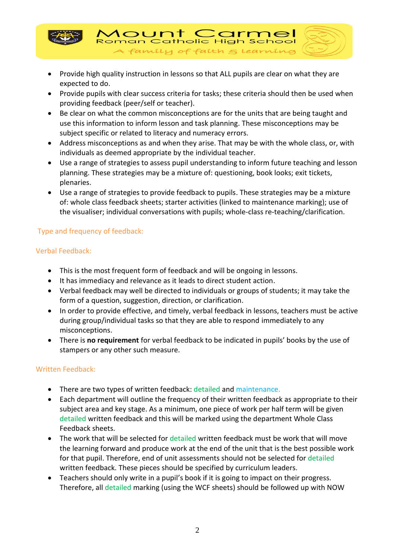

• Provide high quality instruction in lessons so that ALL pupils are clear on what they are expected to do.

A family of faith  $\epsilon$  learnin

Roman Catholic High Sch

1ount C

• Provide pupils with clear success criteria for tasks; these criteria should then be used when providing feedback (peer/self or teacher).

 $\subset$ 

- Be clear on what the common misconceptions are for the units that are being taught and use this information to inform lesson and task planning. These misconceptions may be subject specific or related to literacy and numeracy errors.
- Address misconceptions as and when they arise. That may be with the whole class, or, with individuals as deemed appropriate by the individual teacher.
- Use a range of strategies to assess pupil understanding to inform future teaching and lesson planning. These strategies may be a mixture of: questioning, book looks; exit tickets, plenaries.
- Use a range of strategies to provide feedback to pupils. These strategies may be a mixture of: whole class feedback sheets; starter activities (linked to maintenance marking); use of the visualiser; individual conversations with pupils; whole-class re-teaching/clarification.

## Type and frequency of feedback:

## Verbal Feedback:

- This is the most frequent form of feedback and will be ongoing in lessons.
- It has immediacy and relevance as it leads to direct student action.
- Verbal feedback may well be directed to individuals or groups of students; it may take the form of a question, suggestion, direction, or clarification.
- In order to provide effective, and timely, verbal feedback in lessons, teachers must be active during group/individual tasks so that they are able to respond immediately to any misconceptions.
- There is **no requirement** for verbal feedback to be indicated in pupils' books by the use of stampers or any other such measure.

## Written Feedback:

- There are two types of written feedback: detailed and maintenance.
- Each department will outline the frequency of their written feedback as appropriate to their subject area and key stage. As a minimum, one piece of work per half term will be given detailed written feedback and this will be marked using the department Whole Class Feedback sheets.
- The work that will be selected for detailed written feedback must be work that will move the learning forward and produce work at the end of the unit that is the best possible work for that pupil. Therefore, end of unit assessments should not be selected for detailed written feedback. These pieces should be specified by curriculum leaders.
- Teachers should only write in a pupil's book if it is going to impact on their progress. Therefore, all detailed marking (using the WCF sheets) should be followed up with NOW